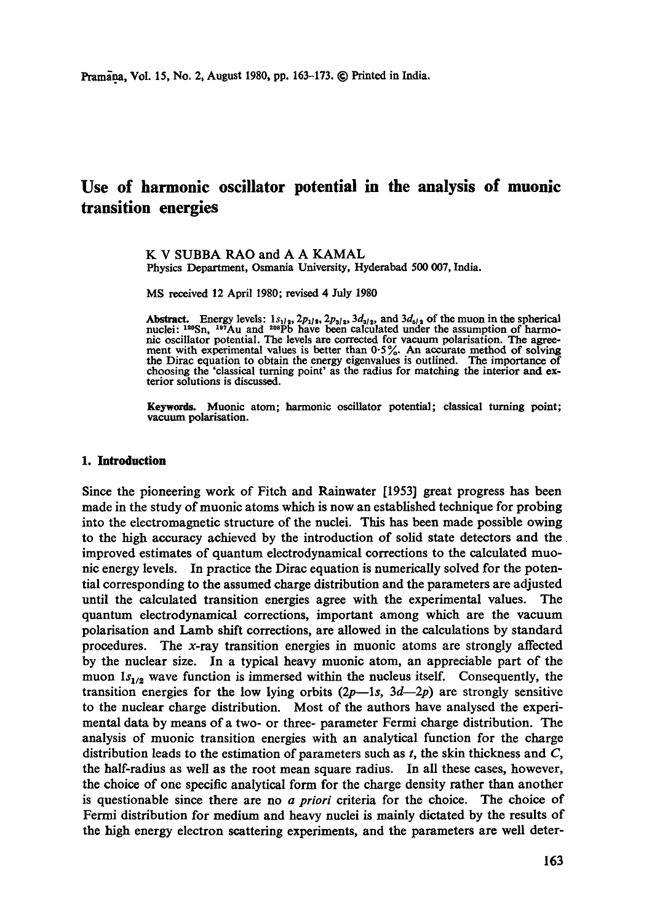# **Use of harmonic oscillator potential in the analysis of muonic transition energies**

K V SUBBA RAO and A A KAMAL Physics Department, Osmania University, Hyderabad 500 007, India.

MS received 12 April 1980; revised 4 July 1980

Abstract. Energy levels:  $1s_{1/2}$ ,  $2p_{1/2}$ ,  $2p_{3/2}$ ,  $3d_{3/2}$ , and  $3d_{5/2}$  of the muon in the spherical nuclei:  $1^{20}Sn$ ,  $1^{97}Au$  and  $2^{08}Pb$  have been calculated under the assumption of harmonic oscillator potential. The levels are corrected for vacuum polarisation. The agreement with experimental values is better than 0-5%. An accurate method of solving the Dirac equation to obtain the energy eigenvalues is outlined. The importance of choosing the 'classical turning point' as the radius for matching the interior and exterior solutions is discussed.

Keywords. Muonic atom; harmonic oscillator potential; classical turning point; vacuum polarisation.

#### **1. Introduction**

Since the pioneering work of Fitch and Rainwater [1953] great progress has been made in the study of muonic atoms which is now an established technique for probing into the electromagnetic structure of the nuclei. This has been made possible owing to the high accuracy achieved by the introduction of solid state detectors and the improved estimates of quantum electrodynamical corrections to the calculated muonic energy levels. In practice the Dirac equation is numerically solved for the potential corresponding to the assumed charge distribution and the parameters are adjusted until the calculated transition energies agree with the experimental values. The quantum electrodynamical corrections, important among which are the vacuum polarisation and Lamb shift corrections, are allowed in the calculations by standard procedures. The x-ray transition energies in muonic atoms are strongly affected by the nuclear size. In a typical heavy muonic atom, an appreciable part of the muon  $1s_{1/2}$  wave function is immersed within the nucleus itself. Consequently, the transition energies for the low lying orbits  $(2p-1s, 3d-2p)$  are strongly sensitive to the nuclear charge distribution. Most of the authors have analysed the experimental data by means of a two- or three- parameter Fermi charge distribution. The analysis of muonic transition energies with an analytical function for the charge distribution leads to the estimation of parameters such as  $t$ , the skin thickness and  $C$ , the half-radius as well as the root mean square radius. In all these cases, however, the choice of one specific analytical form for the charge density rather than another is questionable since there are no *a priori* criteria for the choice. The choice of Fermi distribution for medium and heavy nuclei is mainly dictated by the results of the high energy electron scattering experiments, and the parameters are well deter-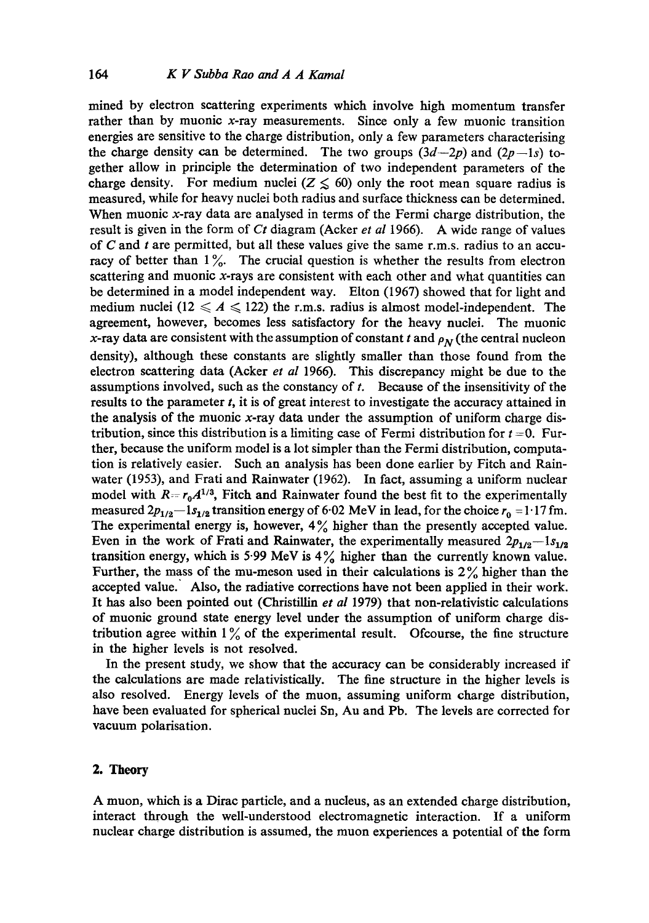mined by electron scattering experiments which involve high momentum transfer rather than by muonic  $x$ -ray measurements. Since only a few muonic transition energies are sensitive to the charge distribution, only a few parameters characterising the charge density can be determined. The two groups  $(3d-2p)$  and  $(2p-1s)$  together allow in principle the determination of two independent parameters of the charge density. For medium nuclei ( $Z \leq 60$ ) only the root mean square radius is measured, while for heavy nuclei both radius and surface thickness can be determined. When muonic x-ray data are analysed in terms of the Fermi charge distribution, the result is given in the form of *Ct* diagram (Acker *et al* 1966). A wide range of values of  $C$  and  $t$  are permitted, but all these values give the same r.m.s. radius to an accuracy of better than  $1\%$ . The crucial question is whether the results from electron scattering and muonic  $x$ -rays are consistent with each other and what quantities can be determined in a model independent way. Elton (1967) showed that for light and medium nuclei (12  $\leqslant$  A  $\leqslant$  122) the r.m.s. radius is almost model-independent. The agreement, however, becomes less satisfactory for the heavy nuclei. The muonic x-ray data are consistent with the assumption of constant t and  $\rho_N$  (the central nucleon density), although these constants are slightly smaller than those found from the electron scattering data (Acker *et al* 1966). This discrepancy might be due to the assumptions involved, such as the constancy of  $t$ . Because of the insensitivity of the results to the parameter t, it is of great interest to investigate the accuracy attained in the analysis of the muonie x-ray data under the assumption of uniform charge distribution, since this distribution is a limiting case of Fermi distribution for  $t = 0$ . Further, because the uniform model is a lot simpler than the Fermi distribution, computation is relatively easier. Such an analysis has been done earlier by Fitch and Rainwater (1953), and Frati and Rainwater (1962). In fact, assuming a uniform nuclear model with  $R = r_0 A^{1/3}$ , Fitch and Rainwater found the best fit to the experimentally measured  $2p_{1/2}-1s_{1/2}$  transition energy of 6.02 MeV in lead, for the choice  $r_0 = 1.17$  fm. The experimental energy is, however,  $4\%$  higher than the presently accepted value. Even in the work of Frati and Rainwater, the experimentally measured  $2p_{1/2}-1s_{1/2}$ transition energy, which is 5.99 MeV is  $4\%$  higher than the currently known value. Further, the mass of the mu-meson used in their calculations is  $2\%$  higher than the accepted value. Also, the radiative corrections have not been applied in their work. It has also been pointed out (Christillin *et al* 1979) that non-relativistic calculations of muonic ground state energy level under the assumption of uniform charge distribution agree within  $1\%$  of the experimental result. Ofcourse, the fine structure in the higher levels is not resolved.

In the present study, we show that the accuracy can be considerably increased if the calculations are made relativistically. The fine structure in the higher levels is also resolved. Energy levels of the muon, assuming uniform charge distribution, have been evaluated for spherical nuclei Sn, Au and Pb. The levels are corrected for vacuum polarisation.

# 2. **Theory**

A muon, which is a Dirac particle, and a nucleus, as an extended charge distribution, interact through the well-understood electromagnetic interaction. If a uniform nuclear charge distribution is assumed, the muon experiences a potential of the form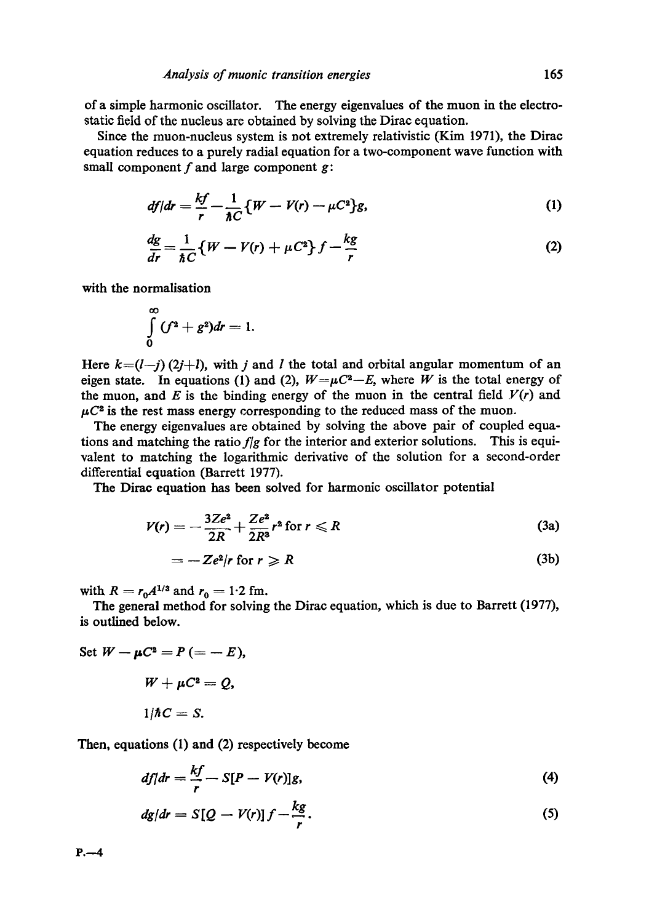of a simple harmonic oscillator. The energy eigenvalues of the muon in the electrostatic field of the nucleus are obtained by solving the Dirac equation.

Since the muon-nucleus system is not extremely relativistic (Kim 1971), the Dirac equation reduces to a purely radial equation for a two-component wave function with small component  $f$  and large component  $g$ :

$$
df/dr = \frac{kf}{r} - \frac{1}{\hbar C} \{W - V(r) - \mu C^2\}g,\tag{1}
$$

$$
\frac{dg}{dr} = \frac{1}{\hbar C} \left\{ W - V(r) + \mu C^2 \right\} f - \frac{kg}{r}
$$
 (2)

with the normalisation

$$
\int\limits_{0}^{\infty}(f^2+g^2)dr=1.
$$

Here  $k=(l-j)$  (2j+l), with j and l the total and orbital angular momentum of an eigen state. In equations (1) and (2),  $W=\mu C^2-E$ , where W is the total energy of the muon, and E is the binding energy of the muon in the central field  $V(r)$  and  $\mu C^2$  is the rest mass energy corresponding to the reduced mass of the muon.

The energy eigenvalues are obtained by solving the above pair of coupled equations and matching the *ratio fig* for the interior and exterior solutions. This is equivalent to matching the logarithmic derivative of the solution for a second-order differential equation (Barrett 1977).

The Dirac equation has been solved for harmonic oscillator potential

$$
V(r) = -\frac{3Ze^2}{2R} + \frac{Ze^2}{2R^3}r^2 \text{ for } r \leq R
$$
 (3a)

$$
= -Ze2/r \text{ for } r \ge R \tag{3b}
$$

with  $R = r_0 A^{1/3}$  and  $r_0 = 1.2$  fm.

The general method for solving the Dirac equation, which is due to Barrett (1977), is outlined below.

Set 
$$
W - \mu C^2 = P (= - E)
$$
,  
\n
$$
W + \mu C^2 = Q
$$
,  
\n
$$
1/\hbar C = S
$$
.

Then, equations (1) and (2) respectively become

$$
df|dr = \frac{kf}{r} - S[P - V(r)]g,
$$
\n(4)

$$
dg/dr = S[Q - V(r)]f - \frac{kg}{r}.
$$
\n(5)

 $P. -4$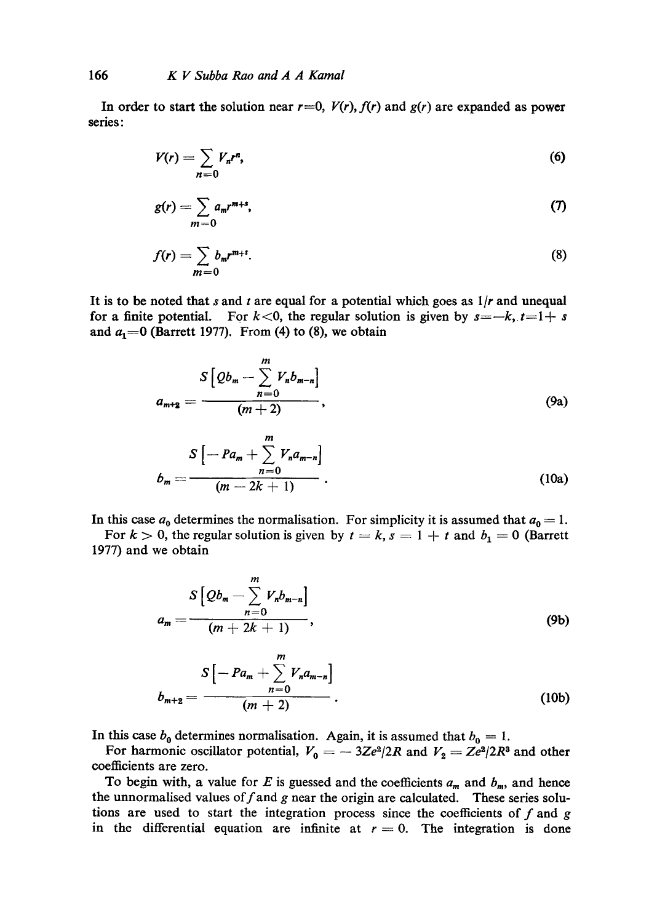In order to start the solution near  $r=0$ ,  $V(r)$ ,  $f(r)$  and  $g(r)$  are expanded as power series:

$$
V(r) = \sum_{n=0} V_n r^n,
$$
\t(6)

$$
g(r) = \sum_{m=0} a_m r^{m+s},\tag{7}
$$

$$
f(r) = \sum_{m=0} b_m r^{m+1}.
$$
 (8)

It is to be noted that s and t are equal for a potential which goes as *I/r* and unequal for a finite potential. For  $k < 0$ , the regular solution is given by  $s = -k$ ,  $t=1+s$ and  $a_1=0$  (Barrett 1977). From (4) to (8), we obtain

$$
a_{m+2} = \frac{S\left[Qb_m - \sum_{n=0}^{m} V_n b_{m-n}\right]}{(m+2)},
$$
\n(9a)

$$
b_m = \frac{S\left[-Pa_m + \sum_{n=0}^{\infty} V_n a_{m-n}\right]}{(m-2k+1)}.
$$
\n(10a)

In this case  $a_0$  determines the normalisation. For simplicity it is assumed that  $a_0 = 1$ .

For  $k > 0$ , the regular solution is given by  $t = k$ ,  $s = 1 + t$  and  $b_1 = 0$  (Barrett 1977) and we obtain

$$
a_m = \frac{S\left[Qb_m - \sum_{n=0}^m V_n b_{m-n}\right]}{(m+2k+1)},
$$
\n(9b)

$$
b_{m+2} = \frac{S\left[-Pa_m + \sum_{n=0}^m V_n a_{m-n}\right]}{(m+2)}.
$$
 (10b)

In this case  $b_0$  determines normalisation. Again, it is assumed that  $b_0 = 1$ .

For harmonic oscillator potential,  $V_0 = -3Ze^2/2R$  and  $V_2 = Ze^2/2R^3$  and other coefficients are zero.

To begin with, a value for E is guessed and the coefficients  $a_m$  and  $b_m$ , and hence the unnormalised values of  $f$  and  $g$  near the origin are calculated. These series solutions are used to start the integration process since the coefficients of  $f$  and  $g$ in the differential equation are infinite at  $r = 0$ . The integration is done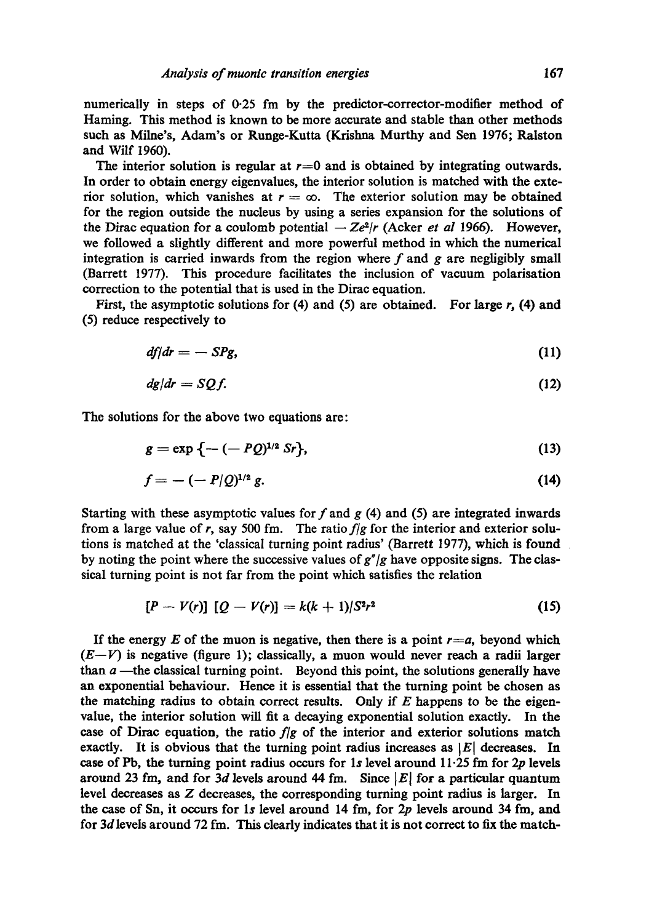numerically in steps of 0-25 fm by the predictor-corrector-modifier method of Haming. This method is known to be more accurate and stable than other methods such as Milne's, Adam's or Runge-Kutta (Krishna Murthy and Sen 1976; Ralston and Wilf 1960).

The interior solution is regular at  $r=0$  and is obtained by integrating outwards. In order to obtain energy eigenvalues, the interior solution is matched with the exterior solution, which vanishes at  $r = \infty$ . The exterior solution may be obtained for the region outside the nucleus by using a series expansion for the solutions of the Dirac equation for a coulomb potential  $-Ze^2/r$  (Acker *et al* 1966). However, we followed a slightly different and more powerful method in which the numerical integration is carried inwards from the region where  $f$  and  $g$  are negligibly small (Barrett 1977). This procedure facilitates the inclusion of vacuum polarisation correction to the potential that is used in the Dirae equation.

First, the asymptotic solutions for (4) and (5) are obtained. For large  $r$ , (4) and (5) reduce respectively to

$$
df/dr = -SPg, \tag{11}
$$

$$
dg/dr = SQf. \tag{12}
$$

The solutions for the above two equations are:

$$
g = \exp \left\{ -(-PQ)^{1/2} \, Sr \right\},\tag{13}
$$

$$
f = -(-P/Q)^{1/2} g. \tag{14}
$$

Starting with these asymptotic values for  $f$  and  $g$  (4) and (5) are integrated inwards from a large value of r, say 500 fm. The ratio *fig* for the interior and exterior solutions is matched at the 'classical turning point radius' (Barrett 1977), which is found by noting the point where the successive values of *g"/g* have opposite signs. The classical turning point is not far from the point which satisfies the relation

$$
[P - V(r)] [Q - V(r)] = k(k+1)/S^2r^2
$$
 (15)

If the energy E of the muon is negative, then there is a point  $r=a$ , beyond which  $(E-V)$  is negative (figure 1); classically, a muon would never reach a radii larger than  $a$  ---the classical turning point. Beyond this point, the solutions generally have an exponential behaviour. Hence it is essential that the turning point be chosen as the matching radius to obtain correct results. Only if  $E$  happens to be the eigenvalue, the interior solution will fit a decaying exponential solution exactly. In the case of Dirac equation, the ratio  $f/g$  of the interior and exterior solutions match exactly. It is obvious that the turning point radius increases as  $|E|$  decreases. In case of Pb, the turning point radius occurs for 1s level around  $11.25$  fm for 2p levels around 23 fm, and for 3d levels around 44 fm. Since  $|E|$  for a particular quantum level decreases as Z decreases, the corresponding turning point radius is larger. In the case of Sn, it occurs for 1s level around 14 fm, for  $2p$  levels around 34 fm, and for  $3d$  levels around  $72$  fm. This clearly indicates that it is not correct to fix the match-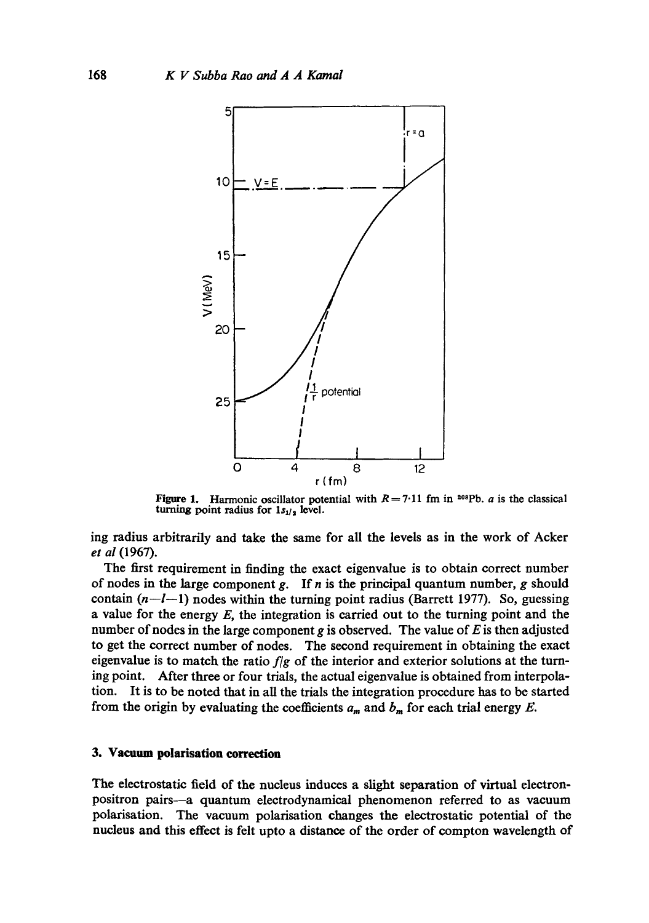

Figure 1. Harmonic oscillator potential with  $R = 7.11$  fm in <sup>208</sup>Pb. *a* is the classical turning point radius for  $1s_{1/2}$  level.

ing radius arbitrarily and take the same for all the levels as in the work of Acker *et al* (1967).

The first requirement in finding the exact eigenvalue is to obtain correct number of nodes in the large component g. If n is the principal quantum number, g should contain  $(n-l-1)$  nodes within the turning point radius (Barrett 1977). So, guessing a value for the energy  $E$ , the integration is carried out to the turning point and the number of nodes in the large component g is observed. The value of E is then adjusted to get the correct number of nodes. The second requirement in obtaining the exact eigenvalue is to match the ratio *fig* of the interior and exterior solutions at the turning point. After three or four trials, the actual eigenvalue is obtained from interpolation. It is to be noted that in all the trials the integration procedure has to be started from the origin by evaluating the coefficients  $a_m$  and  $b_m$  for each trial energy E.

#### **3. Vacuum polarisation correction**

The electrostatic field of the nucleus induces a slight separation of virtual electronpositron pairs--a quantum electrodynamical phenomenon referred to as vacuum polarisation. The vacuum polarisation changes the electrostatic potential of the nucleus and this effect is felt upto a distance of the order of compton wavelength of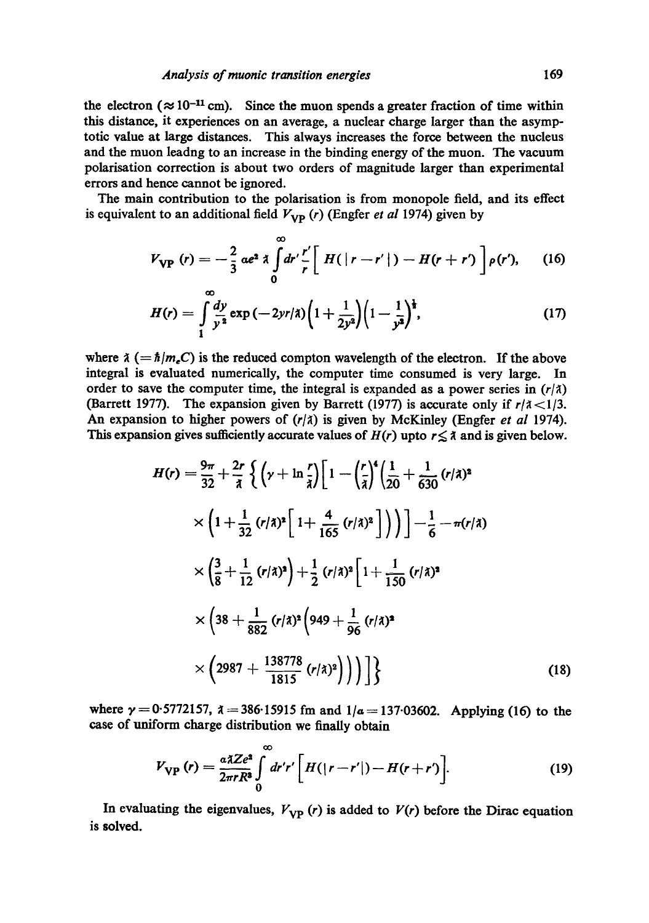the electron ( $\approx 10^{-11}$  cm). Since the muon spends a greater fraction of time within this distance, it experiences on an average, a nuclear charge larger than the asymptotic value at large distances. This always increases the force between the nucleus and the muon leadng to an increase in the binding energy of the muon. The vacuum polarisation correction is about two orders of magnitude larger than experimental errors and hence cannot be ignored.

The main contribution to the polarisation is from monopole field, and its effect is equivalent to an additional field  $V_{VP}$  (*r*) (Engfer *et al* 1974) given by

$$
V_{\text{VP}}(r) = -\frac{2}{3} \alpha e^{\alpha} \lambda \int_{0}^{\infty} dr' \frac{r'}{r} \left[ H(|r - r'|) - H(r + r') \right] \rho(r'), \quad (16)
$$

$$
H(r) = \int_{1}^{\infty} \frac{dy}{y^2} \exp\left(-2yr/\lambda\right) \left(1 + \frac{1}{2y^2}\right) \left(1 - \frac{1}{y^2}\right)^{\frac{1}{2}},\tag{17}
$$

where  $\lambda (= \hbar/m_eC)$  is the reduced compton wavelength of the electron. If the above integral is evaluated numerically, the computer time consumed is very large. In order to save the computer time, the integral is expanded as a power series in  $(r/\lambda)$ (Barrett 1977). The expansion given by Barrett (1977) is accurate only if  $r/\lambda < 1/3$ . An expansion to higher powers of  $(r/\lambda)$  is given by McKinley (Engfer *et al* 1974). This expansion gives sufficiently accurate values of  $H(r)$  upto  $r \leq \lambda$  and is given below.

$$
H(r) = \frac{9\pi}{32} + \frac{2r}{\lambda} \left\{ \left( \gamma + \ln \frac{r}{\lambda} \right) \left[ 1 - \left( \frac{r}{\lambda} \right)^4 \left( \frac{1}{20} + \frac{1}{630} (r/\lambda)^2 \right) \right. \right.
$$
  

$$
\times \left( 1 + \frac{1}{32} (r/\lambda)^2 \left[ 1 + \frac{4}{165} (r/\lambda)^2 \right] \right) \Big) - \frac{1}{6} - \pi (r/\lambda)
$$
  

$$
\times \left( \frac{3}{8} + \frac{1}{12} (r/\lambda)^2 \right) + \frac{1}{2} (r/\lambda)^2 \left[ 1 + \frac{1}{150} (r/\lambda)^2 \right.
$$
  

$$
\times \left( 38 + \frac{1}{882} (r/\lambda)^2 \left( 949 + \frac{1}{96} (r/\lambda)^2 \right. \right)
$$
  

$$
\times \left( 2987 + \frac{138778}{1815} (r/\lambda)^2 \right) \Big) \Big) \Bigg\}
$$
 (18)

where  $\gamma = 0.5772157$ ,  $\lambda = 386.15915$  fm and  $1/a = 137.03602$ . Applying (16) to the case of uniform charge distribution we finally obtain

$$
V_{\rm VP} \left( r \right) = \frac{a \lambda Z e^2}{2 \pi r R^3} \int\limits_0^\infty dr' r' \left[ H(|r - r'|) - H(r + r') \right]. \tag{19}
$$

In evaluating the eigenvalues,  $V_{VP}$  (r) is added to  $V(r)$  before the Dirac equation is **solved.**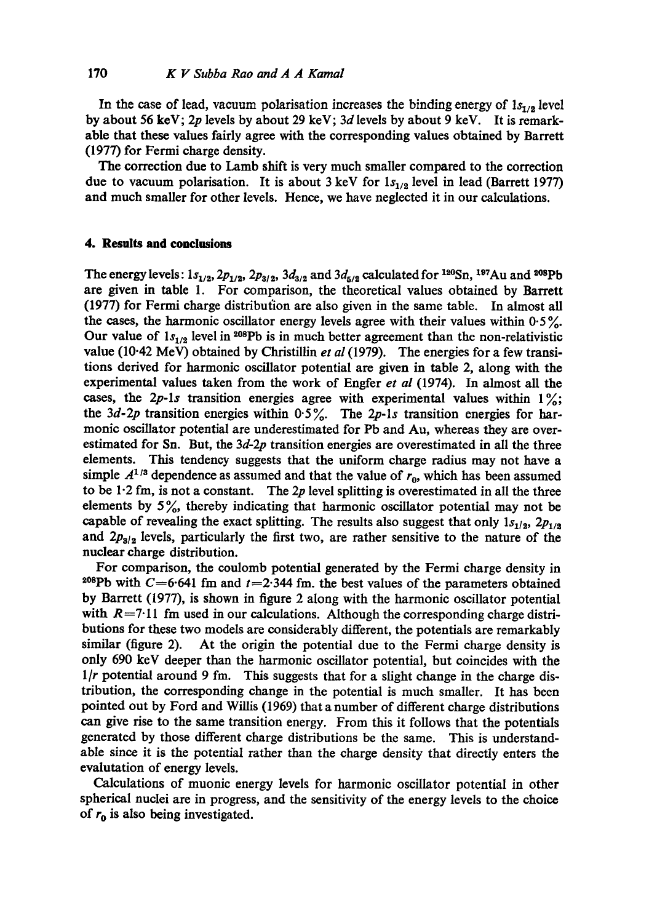In the case of lead, vacuum polarisation increases the binding energy of  $1s_{1/2}$  level by about 56 keV; 2p levels by about 29 keV; 3d levels by about 9 keV. It is remarkable that these values fairly agree with the corresponding values obtained by Barrett (1977) for Fermi charge density.

The correction due to Lamb shift is very much smaller compared to the correction due to vacuum polarisation. It is about 3 keV for  $1s_{1/2}$  level in lead (Barrett 1977) and much smaller for other levels. Hence, we have neglected it in our calculations.

## **4. Results and conclusions**

The energy levels:  $1s_{1/2}$ ,  $2p_{1/2}$ ,  $2p_{3/2}$ ,  $3d_{3/2}$  and  $3d_{5/2}$  calculated for <sup>120</sup>Sn, <sup>197</sup>Au and <sup>208</sup>Pb are given in table 1. For comparison, the theoretical values obtained by Barrett (1977) for Fermi charge distribution are also given in the same table. In almost all the cases, the harmonic oscillator energy levels agree with their values within  $0.5\%$ . Our value of  $1s_{1/2}$  level in <sup>208</sup>Pb is in much better agreement than the non-relativistic value (10-42 MeV) obtained by Christillin *et al* (1979). The energies for a few transitions derived for harmonic oscillator potential are given in table 2, along with the experimental values taken from the work of Engfer *et al* (1974). In almost all the cases, the 2p-1s transition energies agree with experimental values within  $1\%$ ; the  $3d$ -2p transition energies within  $0.5\%$ . The 2p-1s transition energies for harmonic oscillator potential are underestimated for Pb and Au, whereas they are overestimated for Sn. But, the *3d-2p* transition energies are overestimated in all the three elements. This tendency suggests that the uniform charge radius may not have a simple  $A^{1/3}$  dependence as assumed and that the value of  $r_0$ , which has been assumed to be 1.2 fm, is not a constant. The 2p level splitting is overestimated in all the three elements by  $5\%$ , thereby indicating that harmonic oscillator potential may not be capable of revealing the exact splitting. The results also suggest that only  $1s_{1/2}$ ,  $2p_{1/2}$ and  $2p_{3/2}$  levels, particularly the first two, are rather sensitive to the nature of the nuclear charge distribution.

For comparison, the coulomb potential generated by the Fermi charge density in <sup>208</sup>Pb with C=6.641 fm and t=2.344 fm. the best values of the parameters obtained by Barrett (1977), is shown in figure 2 along with the harmonic oscillator potential with  $R=7.11$  fm used in our calculations. Although the corresponding charge distributions for these two models are considerably different, the potentials are remarkably similar (figure 2). At the origin the potential due to the Fermi charge density is only 690 keY deeper than the harmonic oscillator potential, but coincides with the *1/r* potential around 9 fm. This suggests that for a slight change in the charge distribution, the corresponding change in the potential is much smaller. It has been pointed out by Ford and Willis (1969) that a number of different charge distributions can give rise to the same transition energy. From this it follows that the potentials generated by those different charge distributions be the same. This is understandable since it is the potential rather than the charge density that directly enters the evalutation of energy levels.

Calculations of muonic energy levels for harmonic oscillator potential in other spherical nuclei are in progress, and the sensitivity of the energy levels to the choice of  $r_0$  is also being investigated.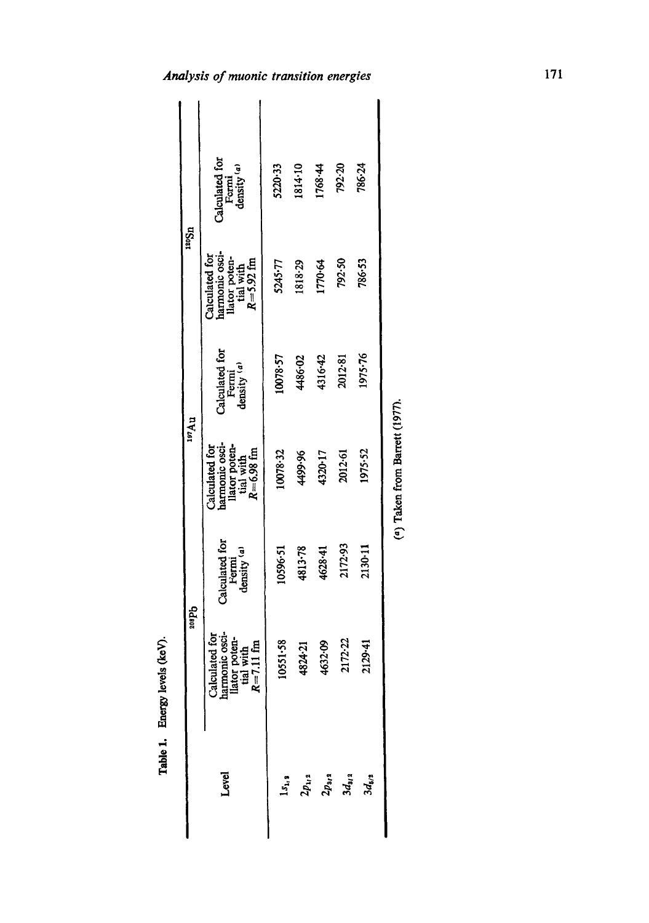| ugaar  |              | Calculated for<br>Fermi<br>density $\binom{a}{a}$                                           | 5220-33    | 1814-10 | 1768.44 | 792-20                                    | 786.24     |  |
|--------|--------------|---------------------------------------------------------------------------------------------|------------|---------|---------|-------------------------------------------|------------|--|
|        |              | Calculated for<br>harmonic osci-<br>llator poten-<br>tial with<br>$R = 5.92$ fm             | 5245-77    | 1818-29 | 1770-64 | 792.50                                    | 786-53     |  |
|        |              | Calculated for<br>Fermi<br>density $(a)$                                                    | 10078.57   | 4486-02 | 4316-42 | 2012-81                                   | 1975-76    |  |
| 197 Au |              | harmonic oscillator poten-<br>llator poten-<br>tial with<br>$R = 6.98$ fm<br>Calculated for | 10078-32   | 4499.96 | 4320-17 | 2012-61                                   | 1975.52    |  |
|        |              | Calculated for<br>Fermi<br>density $(a)$                                                    | 10596-51   | 4813-78 | 4628.41 | 2172.93                                   | 2130-11    |  |
|        | <b>Sdaps</b> | Calculated for<br>harmonic osci-<br>llator poten-<br>tial with<br>$R = 7.11$ fm             | 10551-58   | 1824.21 | 1632.09 | 2172-22                                   | 2129.41    |  |
|        |              | Level                                                                                       | $1s_{1/2}$ |         |         | $2p_{1i}$ a<br>$2p_{3i}$ a<br>$3d_{3i}$ a | $3d_{5/2}$ |  |

Table 1. Energy levels (keV).

Enorgy levels (keV).

(a) Taken from Barrett (1977).  $(4)$  Taken from Barrett  $(1977)$ .

Analysis of muonic transition energies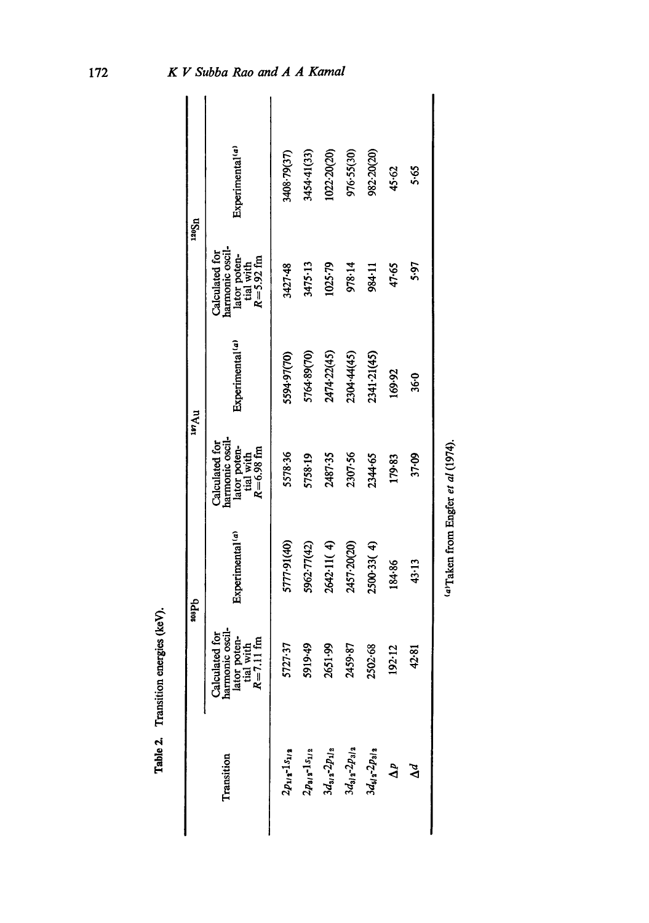|                             |                                                                                 | ddee<br>Se                  |                                                                               | ur Au                       |                                                                               | 12051                       |
|-----------------------------|---------------------------------------------------------------------------------|-----------------------------|-------------------------------------------------------------------------------|-----------------------------|-------------------------------------------------------------------------------|-----------------------------|
| Transition                  | Calculated for<br>harmonic oscil-<br>lator poten-<br>tial with<br>$R = 7.11$ fm | Experimental <sup>(a)</sup> | harmonic oscil-<br>lator poten-<br>tial with<br>$R=6.98$ fm<br>Calculated for | Experimental <sup>(a)</sup> | harmonic oscil-<br>lator poten-<br>tial with<br>$R=5.92$ fm<br>Calculated for | Experimental <sup>(a)</sup> |
| $2p_{11}$ , $1s_{11}$       | 5727.37                                                                         | 5777-91(40)                 | 5578.36                                                                       | 5594.97(70)                 | 3427.48                                                                       | 3408-79(37)                 |
| $2p_{3/2}\hbox{-} 1s_{1/2}$ | 5919-49                                                                         | 5962-77(42)                 | 5758-19                                                                       | 5764-89(70)                 | 3475.13                                                                       | 3454-41(33)                 |
| $3d_{3/2}$ - $2p_{1/2}$     | 2651.99                                                                         | 2642.11(4)                  | 2487-35                                                                       | 2474-22(45)                 | 1025.79                                                                       | 1022-20(20)                 |
| $3d_{31}$ 2 $2p_{31}$ 2     | 2459.87                                                                         | 2457-20(20)                 | 2307.56                                                                       | 2304.44(45)                 | 978.14                                                                        | 976.55(30)                  |
| $3d_{51}$ $2p_{31}$         | 2502.68                                                                         | 2500.33(4)                  | 2344-65                                                                       | 2341.21(45)                 | 984-11                                                                        | 982-20(20)                  |
| $\Delta^p$                  | 192.12                                                                          | 184.86                      | 179.83                                                                        | 169.92                      | 47.65                                                                         | 45.62                       |
| $\Delta^d$                  | 42.81                                                                           | 43.13                       | 37-09                                                                         | 36-0                        | 5.97                                                                          | 5.65                        |
|                             |                                                                                 |                             | (a)Taken from Engfer et al (1974).                                            |                             |                                                                               |                             |

Table 2. Transition energies (keV). Table 2. Transition energies (keV).

172